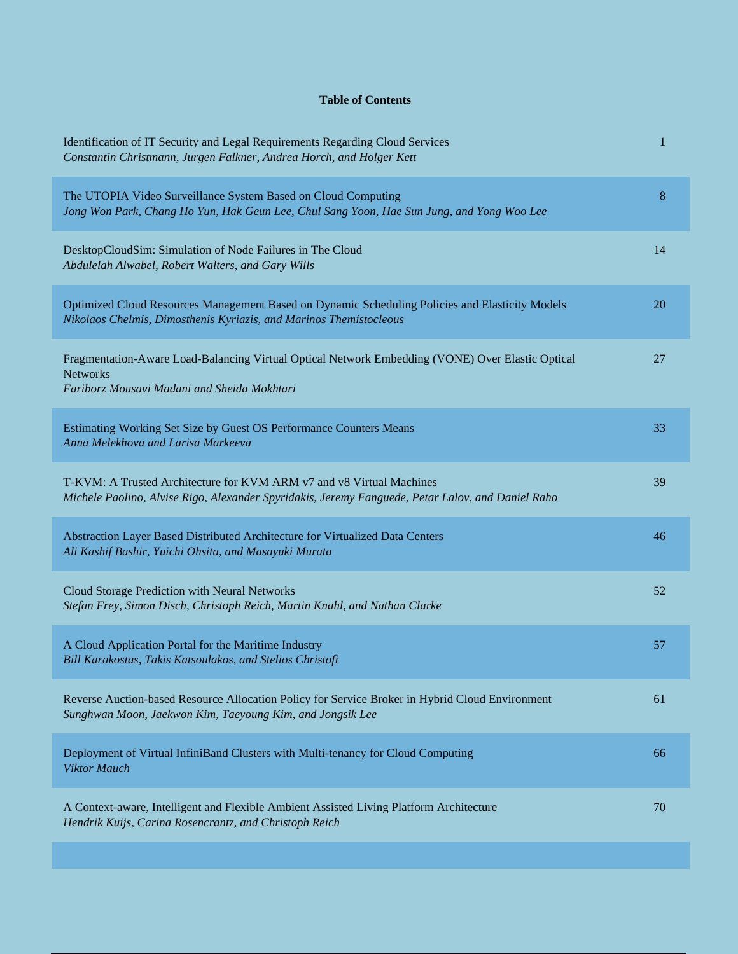## **Table of Contents**

| Identification of IT Security and Legal Requirements Regarding Cloud Services<br>Constantin Christmann, Jurgen Falkner, Andrea Horch, and Holger Kett                     | 1  |
|---------------------------------------------------------------------------------------------------------------------------------------------------------------------------|----|
| The UTOPIA Video Surveillance System Based on Cloud Computing<br>Jong Won Park, Chang Ho Yun, Hak Geun Lee, Chul Sang Yoon, Hae Sun Jung, and Yong Woo Lee                | 8  |
| DesktopCloudSim: Simulation of Node Failures in The Cloud<br>Abdulelah Alwabel, Robert Walters, and Gary Wills                                                            | 14 |
| Optimized Cloud Resources Management Based on Dynamic Scheduling Policies and Elasticity Models<br>Nikolaos Chelmis, Dimosthenis Kyriazis, and Marinos Themistocleous     | 20 |
| Fragmentation-Aware Load-Balancing Virtual Optical Network Embedding (VONE) Over Elastic Optical<br><b>Networks</b><br>Fariborz Mousavi Madani and Sheida Mokhtari        | 27 |
| Estimating Working Set Size by Guest OS Performance Counters Means<br>Anna Melekhova and Larisa Markeeva                                                                  | 33 |
| T-KVM: A Trusted Architecture for KVM ARM v7 and v8 Virtual Machines<br>Michele Paolino, Alvise Rigo, Alexander Spyridakis, Jeremy Fanguede, Petar Lalov, and Daniel Raho | 39 |
| Abstraction Layer Based Distributed Architecture for Virtualized Data Centers<br>Ali Kashif Bashir, Yuichi Ohsita, and Masayuki Murata                                    | 46 |
| Cloud Storage Prediction with Neural Networks<br>Stefan Frey, Simon Disch, Christoph Reich, Martin Knahl, and Nathan Clarke                                               | 52 |
| A Cloud Application Portal for the Maritime Industry<br>Bill Karakostas, Takis Katsoulakos, and Stelios Christofi                                                         | 57 |
| Reverse Auction-based Resource Allocation Policy for Service Broker in Hybrid Cloud Environment<br>Sunghwan Moon, Jaekwon Kim, Taeyoung Kim, and Jongsik Lee              | 61 |
| Deployment of Virtual InfiniBand Clusters with Multi-tenancy for Cloud Computing<br><b>Viktor Mauch</b>                                                                   | 66 |
| A Context-aware, Intelligent and Flexible Ambient Assisted Living Platform Architecture<br>Hendrik Kuijs, Carina Rosencrantz, and Christoph Reich                         | 70 |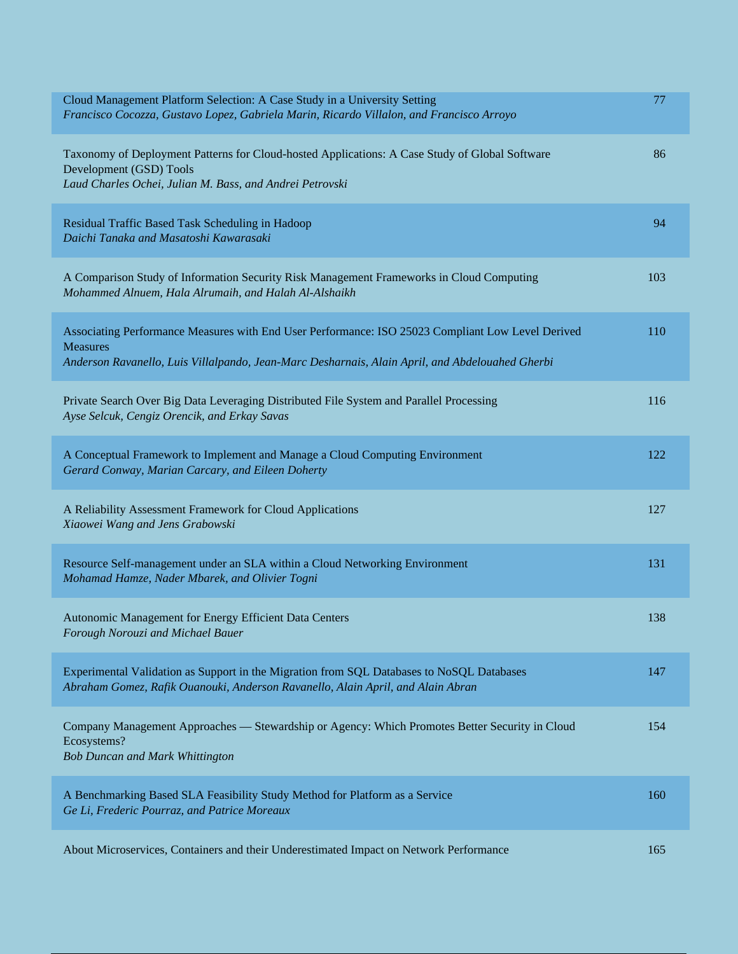| Cloud Management Platform Selection: A Case Study in a University Setting<br>Francisco Cocozza, Gustavo Lopez, Gabriela Marin, Ricardo Villalon, and Francisco Arroyo                                                   | 77  |
|-------------------------------------------------------------------------------------------------------------------------------------------------------------------------------------------------------------------------|-----|
| Taxonomy of Deployment Patterns for Cloud-hosted Applications: A Case Study of Global Software<br>Development (GSD) Tools<br>Laud Charles Ochei, Julian M. Bass, and Andrei Petrovski                                   | 86  |
| Residual Traffic Based Task Scheduling in Hadoop<br>Daichi Tanaka and Masatoshi Kawarasaki                                                                                                                              | 94  |
| A Comparison Study of Information Security Risk Management Frameworks in Cloud Computing<br>Mohammed Alnuem, Hala Alrumaih, and Halah Al-Alshaikh                                                                       | 103 |
| Associating Performance Measures with End User Performance: ISO 25023 Compliant Low Level Derived<br><b>Measures</b><br>Anderson Ravanello, Luis Villalpando, Jean-Marc Desharnais, Alain April, and Abdelouahed Gherbi | 110 |
| Private Search Over Big Data Leveraging Distributed File System and Parallel Processing<br>Ayse Selcuk, Cengiz Orencik, and Erkay Savas                                                                                 | 116 |
| A Conceptual Framework to Implement and Manage a Cloud Computing Environment<br>Gerard Conway, Marian Carcary, and Eileen Doherty                                                                                       | 122 |
| A Reliability Assessment Framework for Cloud Applications<br>Xiaowei Wang and Jens Grabowski                                                                                                                            | 127 |
| Resource Self-management under an SLA within a Cloud Networking Environment<br>Mohamad Hamze, Nader Mbarek, and Olivier Togni                                                                                           | 131 |
| Autonomic Management for Energy Efficient Data Centers<br>Forough Norouzi and Michael Bauer                                                                                                                             | 138 |
| Experimental Validation as Support in the Migration from SQL Databases to NoSQL Databases<br>Abraham Gomez, Rafik Ouanouki, Anderson Ravanello, Alain April, and Alain Abran                                            | 147 |
| Company Management Approaches — Stewardship or Agency: Which Promotes Better Security in Cloud<br>Ecosystems?<br><b>Bob Duncan and Mark Whittington</b>                                                                 | 154 |
| A Benchmarking Based SLA Feasibility Study Method for Platform as a Service<br>Ge Li, Frederic Pourraz, and Patrice Moreaux                                                                                             | 160 |
| About Microservices, Containers and their Underestimated Impact on Network Performance                                                                                                                                  | 165 |